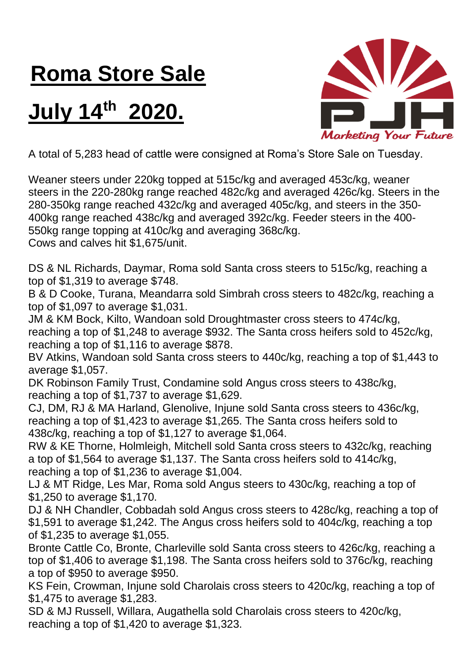## **Roma Store Sale**

## **July 14th 2020.**



A total of 5,283 head of cattle were consigned at Roma's Store Sale on Tuesday.

Weaner steers under 220kg topped at 515c/kg and averaged 453c/kg, weaner steers in the 220-280kg range reached 482c/kg and averaged 426c/kg. Steers in the 280-350kg range reached 432c/kg and averaged 405c/kg, and steers in the 350- 400kg range reached 438c/kg and averaged 392c/kg. Feeder steers in the 400- 550kg range topping at 410c/kg and averaging 368c/kg.

Cows and calves hit \$1,675/unit.

DS & NL Richards, Daymar, Roma sold Santa cross steers to 515c/kg, reaching a top of \$1,319 to average \$748.

B & D Cooke, Turana, Meandarra sold Simbrah cross steers to 482c/kg, reaching a top of \$1,097 to average \$1,031.

JM & KM Bock, Kilto, Wandoan sold Droughtmaster cross steers to 474c/kg, reaching a top of \$1,248 to average \$932. The Santa cross heifers sold to 452c/kg, reaching a top of \$1,116 to average \$878.

BV Atkins, Wandoan sold Santa cross steers to 440c/kg, reaching a top of \$1,443 to average \$1,057.

DK Robinson Family Trust, Condamine sold Angus cross steers to 438c/kg, reaching a top of \$1,737 to average \$1,629.

CJ, DM, RJ & MA Harland, Glenolive, Injune sold Santa cross steers to 436c/kg, reaching a top of \$1,423 to average \$1,265. The Santa cross heifers sold to 438c/kg, reaching a top of \$1,127 to average \$1,064.

RW & KE Thorne, Holmleigh, Mitchell sold Santa cross steers to 432c/kg, reaching a top of \$1,564 to average \$1,137. The Santa cross heifers sold to 414c/kg, reaching a top of \$1,236 to average \$1,004.

LJ & MT Ridge, Les Mar, Roma sold Angus steers to 430c/kg, reaching a top of \$1,250 to average \$1,170.

DJ & NH Chandler, Cobbadah sold Angus cross steers to 428c/kg, reaching a top of \$1,591 to average \$1,242. The Angus cross heifers sold to 404c/kg, reaching a top of \$1,235 to average \$1,055.

Bronte Cattle Co, Bronte, Charleville sold Santa cross steers to 426c/kg, reaching a top of \$1,406 to average \$1,198. The Santa cross heifers sold to 376c/kg, reaching a top of \$950 to average \$950.

KS Fein, Crowman, Injune sold Charolais cross steers to 420c/kg, reaching a top of \$1,475 to average \$1,283.

SD & MJ Russell, Willara, Augathella sold Charolais cross steers to 420c/kg, reaching a top of \$1,420 to average \$1,323.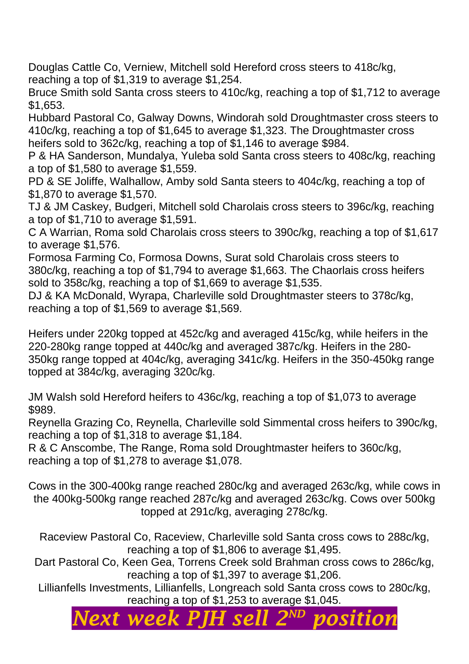Douglas Cattle Co, Verniew, Mitchell sold Hereford cross steers to 418c/kg, reaching a top of \$1,319 to average \$1,254.

Bruce Smith sold Santa cross steers to 410c/kg, reaching a top of \$1,712 to average \$1,653.

Hubbard Pastoral Co, Galway Downs, Windorah sold Droughtmaster cross steers to 410c/kg, reaching a top of \$1,645 to average \$1,323. The Droughtmaster cross heifers sold to 362c/kg, reaching a top of \$1,146 to average \$984.

P & HA Sanderson, Mundalya, Yuleba sold Santa cross steers to 408c/kg, reaching a top of \$1,580 to average \$1,559.

PD & SE Joliffe, Walhallow, Amby sold Santa steers to 404c/kg, reaching a top of \$1,870 to average \$1,570.

TJ & JM Caskey, Budgeri, Mitchell sold Charolais cross steers to 396c/kg, reaching a top of \$1,710 to average \$1,591.

C A Warrian, Roma sold Charolais cross steers to 390c/kg, reaching a top of \$1,617 to average \$1,576.

Formosa Farming Co, Formosa Downs, Surat sold Charolais cross steers to 380c/kg, reaching a top of \$1,794 to average \$1,663. The Chaorlais cross heifers sold to 358c/kg, reaching a top of \$1,669 to average \$1,535.

DJ & KA McDonald, Wyrapa, Charleville sold Droughtmaster steers to 378c/kg, reaching a top of \$1,569 to average \$1,569.

Heifers under 220kg topped at 452c/kg and averaged 415c/kg, while heifers in the 220-280kg range topped at 440c/kg and averaged 387c/kg. Heifers in the 280- 350kg range topped at 404c/kg, averaging 341c/kg. Heifers in the 350-450kg range topped at 384c/kg, averaging 320c/kg.

JM Walsh sold Hereford heifers to 436c/kg, reaching a top of \$1,073 to average \$989.

Reynella Grazing Co, Reynella, Charleville sold Simmental cross heifers to 390c/kg, reaching a top of \$1,318 to average \$1,184.

R & C Anscombe, The Range, Roma sold Droughtmaster heifers to 360c/kg, reaching a top of \$1,278 to average \$1,078.

Cows in the 300-400kg range reached 280c/kg and averaged 263c/kg, while cows in the 400kg-500kg range reached 287c/kg and averaged 263c/kg. Cows over 500kg topped at 291c/kg, averaging 278c/kg.

Raceview Pastoral Co, Raceview, Charleville sold Santa cross cows to 288c/kg, reaching a top of \$1,806 to average \$1,495.

Dart Pastoral Co, Keen Gea, Torrens Creek sold Brahman cross cows to 286c/kg, reaching a top of \$1,397 to average \$1,206.

Lillianfells Investments, Lillianfells, Longreach sold Santa cross cows to 280c/kg, reaching a top of \$1,253 to average \$1,045.

## *Next week PJH sell 2 ND position*